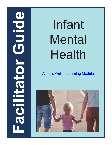# **ODIDIO Facilitator Guide** CHECTES

# Infant Mental Health

[Access Online Learning Modules](https://www.easternct.edu/center-for-early-childhood-education/online-learning-modules.html)

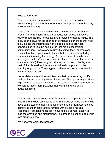### **Note to facilitator:**

The online training module "Infant Mental Health" provides an excellent opportunity for home visitors who appreciate the flexibility of distance learning.

The pairing of the online training with a facilitated discussion (a proven more traditional method of education, whose efficacy is widely recognized) is innovative and provides for added value. The discussion allows for the sharing of personal experiences that help to illuminate the information in the module. It also provides opportunities to use the basic skills that are so essential for communication – "serve and return", listening, facial expressions, vocal intonation, eye contact - things that are absent from today's communication using technology. (In these days of emails, text messages, "selfies", and social media, it's nice to meet face-to-face once in a while!) Also, laughter, stories, music, and role-plays as part of the discussion, injects an emotional component to the learning opportunity. These types of elements are incorporated into this Facilitator Guide.

Home visitors spend time with families that have an array of gifts, skills, cultures and many times challenges. The opportunity to share experiences, strategies, solutions, and successes with other family workers is much more powerful than completing the online education alone.

### \*\*\*\*\*\*\*\*\*\*\*\*\*\*\*\*\*\*\*\*\*\*\*\*\*\*\*\*\*\*\*\*\*\*\*\*\*\*\*\*\*\*\*\*\*\*\*\*\*\*\*\*\*\*\*\*\*\*\*\*\*\*\*\*\*\*\*\*\*\*\*\*\*\*

This Guide provides some ideas for a trainer or supervisor wishing to facilitate a follow-up discussion with a group of home visitors who have completed the module. It assumes that the facilitator has also completed the module and is familiar with its contents and resources. You don't necessarily have to be a content expert to lead the activities and discussions. Feel free to adjust and add your own creative ideas.

We hope you enjoy the process!

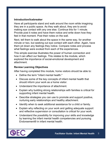### **Introduction/Icebreaker**

Have all participants stand and walk around the room while imagining they are in a public space. As they walk about, they are to avoid making eye contact with any one else. Continue this for 1 minute. Provide post it notes and have them notice and write down how they feel in that moment. Post their notes on the wall.

Next, tell them to walk about the space in the same way, for another minute or two, but seeking out eye contact with each other. Again, have them jot down any feelings they notice. Compare notes and process what feelings were evoked from each of the experiences.

This simple exercise illustrates the power of human connection and how it can affect our feelings. This relates to the module, which explored the importance of social-emotional development and attachment.

### **Review Learning Objectives**

After having completed this module, home visitors should be able to:

- Define the term "infant mental health."
- Discuss some of the key concepts of infant mental health that should inform your work as a home visitor.
- Understand the importance of attachment.
- Explain why building strong relationships with families is critical for supporting infant mental health.
- Describe strategies you can use to promote and support positive, nurturing early relationships and healthy attachment.
- Identify when to seek additional assistance for a child or family.
- Explain why reflecting on your work and getting adequate support and reflective supervision or consultation is critical for your work.
- Understand the possibility for improving your skills and knowledge by learning the infant mental health competencies and pursuing Endorsement® in infant mental health.

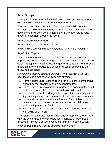### **Small Groups**

Have participants work within small groups to collectively come up with their own definitions for "Infant Mental Health"

Then show the video "What is Infant Mental Health?" from Part 1 of the module. Allow a few minutes for them to make any revisions or additions to their definitions. Then, either have each group read aloud, or post them around the room.

### **Whole Group Discussion**

Prompt a discussion with the question:

*In what ways are you already supporting infant mental health?*

### **Self-Select Topics**

Write each of the following goals for home visitors on separate papers and post on walls throughout the room. Allow participants to select the topic of most interest and gather around that item. Provide ample time for the groups to discuss their topic, addressing the following questions:

*How did the module address this goal? What are ways that you demonstrate this skill in your work with families?*

- o Home visitors understand that children are more likely to thrive when they feel physically and emotionally safe.
- o Home visitors understand the importance of good mental health and how it connects to the individual's overall health.
- o Home visitors are knowledgeable of and utilize culturally and linguistically appropriate mental health services and resources.
- o Home visitors understand the influence of, and interaction between, risk factors and protective factors on child behavior and development and family.
- o Home visitors implement practices that support the emotional well-being of children.

Then signal for their attention and ask each group to share an idea with the whole group for consideration. Facilitate a large group discussion. To get a sense of what their current needs are, ask:

*In what areas do you want to improve your efforts?*

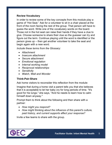### **Review Vocabulary**

In order to review some of the key concepts from this module play a game of "Hot Seat." Ask for a volunteer to sit in a chair placed at the front of the room facing the rest of the group. That person will have to guess the word. Write one of the vocabulary words on the board. Those not in the hot seat can raise their hands if they have a clue to give. Choose someone to share their clue so the guesser can try and figure out the term. Continue playing until the word is identified or the person gives up – then get another volunteer to take the seat and begin again with a new word.

*Include these terms from the Glossary:* 

- *Attachment*
- *Insecure attachment*
- *Secure attachment*
- *Emotional regulation*
- *Internal working model*
- *Reciprocal relationships*
- *Sensitivity*
- *Watch, Wait and Wonder*

### **Think-Pair-Share**

Ask home visitors to reconsider this reflection from the module:

Imagine that during a home visit a parent tells you that she believes that it is acceptable to let her baby cry for long periods of time. "It's good for his lungs," she says, "And he needs to learn how to calm himself down anyway."

Prompt them to think about the following and then share with a partner:

- *How might you respond?*
- *How might thinking about the influence of this parent's culture, past history, and current supports affect your response?*

Invite a few teams to share with the group.

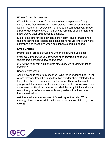### **Whole Group Discussion**

While it is very common for a new mother to experience "baby blues" in the first few weeks, depression is more serious and long lasting. Postpartum depression left untreated can negatively impact a baby's development, so a mother who remains affected more than a few weeks after birth needs to get help.

Explore the differences between a short-term "blues" phase and a real and lasting depression. It's critical for home visitors to know the difference and recognize when additional support is needed.

### **Small Groups**

Prompt small group discussions with the following questions:

*What are some things you say or do to encourage a nurturing relationship between a parent and child?*

*In what ways do you help parents take pleasure in their infants or toddlers?*

### Sharing what works

Ask if anyone in the group has tried using the Wondering Log - a list where they can track the things families wonder about related to the baby. If so, have a few share how that went. Then, within small groups, ask them to share this experience - or alternative ways they encourage families to wonder about what the baby thinks and feels – and the types of responses to those questions that they have found most helpful.

Ask them to include examples of "speaking for the baby." This strategy gives parents additional ideas for what their child might be feeling.

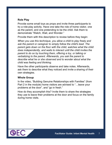### **Role Play**

Provide some small toys as props and invite three participants to try a role-play activity. Have one take the role of home visitor, one as the parent, and one pretending to be the child. Ask them to demonstrate "Watch, Wait, and Wonder."

Provide them with this description to review before they begin:

*When you use this technique, you allow a child to play freely and ask the parent or caregiver to simply follow the child's lead. The parent gets down on the floor with the child, watches what the child does independently, and waits to interact until the child invites the parent to do so by touching them, offering a toy, or talking or verbalizing to the parent. Afterwards, you ask the parent to describe what he or she observed and to wonder about what the child was feeling and thinking.*

Have the other participants observe and take notes. Afterwards, ask them to describe what they noticed and invite a sharing of their own strategies.

### **Whole Group**

In the video, "Building Genuine Relationships with Families" (from Part 2 in the module) home visitors are advised to "…leave your problems at the door", and "go in fresh."

How do they accomplish this? Invite them to share the strategies they use to leave their problems at the door and focus on the family during home visits.

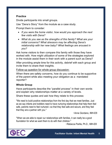### **Practice**

Divide participants into small groups.

Use "Dena's Story" from the module as a case study.

Prompt them to consider:

- *If you were the home visitor, how would you approach the next few visits with Dena?*
- *What do you see as the strengths of this family? What are your initial concerns? What stressors may be affecting Dena's relationship with her new baby? What feelings are aroused in you?*

Ask home visitors to then compare this family with those they have worked with. How might utilization of some of the strategies explored in the module assist them in their work with a parent such as Dena?

After providing ample time for this activity, debrief with each group and invite them to share their insights.

Follow-up question for whole group discussion:

When there are safety concerns, how do you continue to be supportive of the parent while also meeting your obligation as a mandated reporter?

# **Whole Group**

Have participants describe the "parallel process" in their own words and explain why relationships matter at a variety of levels.

Share these quotes and ask how they relate to this process:

"We need to build positive relationships from the first day that we meet families. Just as we say infants and toddlers need to have nurturing relationships that help them feel safe, parents need to feel nurtured—so that they feel safe and secure, and they feel that they are a partner with you."

~Anne Giordano, IMH-E®

"When we are able to repair our relationships with families, it can really be a good foundation for what we want them to do with their children."

~Rebecca Parilla, Ph.D., IMH-E®

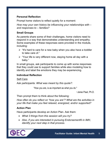### **Personal Reflection**

Prompt home visitors to reflect quietly for a moment:

*How may your own history be influencing your relationships with – and responses to – families?*

### **Small Groups**

As parents share some of their challenges, home visitors need to respond in a way that demonstrates understanding and empathy. Some examples of these responses were provided in the module, including:

- $\triangleright$  "It's hard to care for a new baby when you also have a toddler to take care of."
- $\triangleright$  "Your life is very different now, staying home all day with a baby."

In small groups, ask participants to come up with some responses that they could use to support families while also modeling how to identify and label the emotions they may be experiencing.

### **Individual Reflection**

### Self-Care

Ask participants: *What was meant by this quote?:*

"How you are, is as important as what you do."

~Jeree Pawl, Ph.D.

Then prompt them to think about the following:

*How often do you reflect on "how you are"? What are the activities in your life that make you feel relaxed, energized, and/or supported?* 

# **Action Plan**

Have participants develop an Action Plan. Ask them:

- *What 3 things from this session will you try?*
- *Also, if you are interested in pursuing Endorsement® in IMH, identify your next step in that process.*

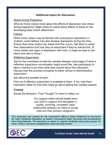### **Additional topics for discussion**

### Stress During Pregnancy

What do home visitors know about the effects of depression and stress during pregnancy? Might share an article about effects of these on the developing baby and/or attachment.

### Fathers

While home visitors may be familiar with post-partum depression in mothers, some fathers may also develop depression during this time. Ensure that home visitors are aware that this occurs. Ask them to share their observations and how they've responded if they've noticed this. (If home visitors see signs of depression with mom, it might be wise to ask about how dad is doing.)

### Reflective Supervision

Ask for two volunteers to read the sample dialogue (next page) of what a reflective supervision conversation might sound like. Ask participants to take a moment to jot down what they noticed about the interaction. Discuss how this process compares to either clinical or administrative supervision.

Ask about the benefits of each.

Find out if reflective supervision is available to them. If not, help them brainstorm ideas for how they might go about getting this needed support.

### **Closing**

Revisit the Module's "Final Thought" for them to reflect on:

*You support infant mental health when you work to support and strengthen a quality, nurturing, consistent, early relationship between an infant or young child and their primary caregivers.*

*This document was created for the Connecticut Office of Early Childhood by the Center for Early Childhood Education at Eastern Connecticut State University with contributions from Doug Edwards. The document is meant to support facilitated discussion groups for home visitors who have completed the online learning module.*